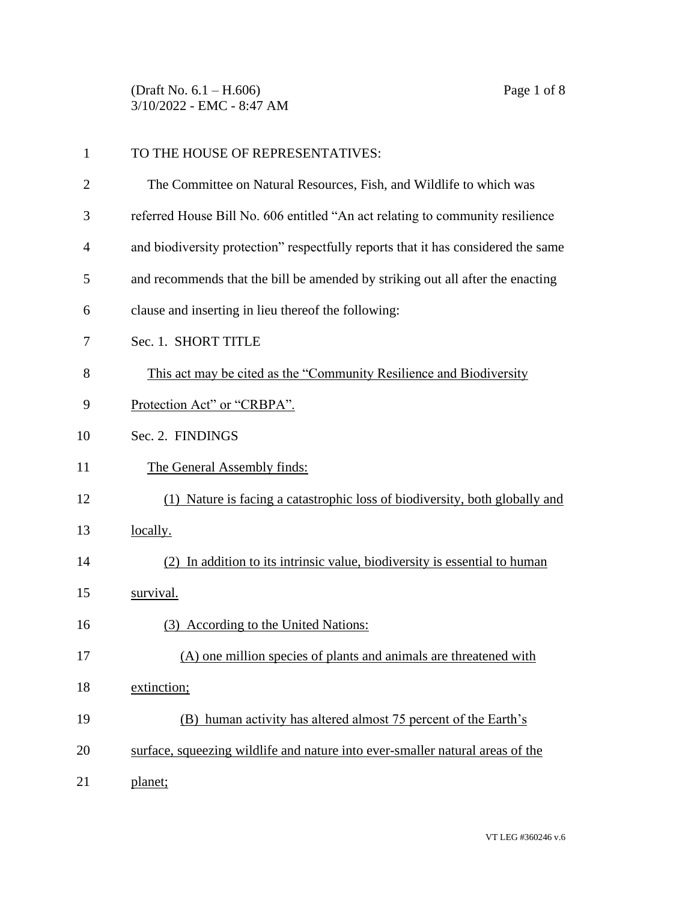(Draft No. 6.1 – H.606) Page 1 of 8 3/10/2022 - EMC - 8:47 AM

| $\mathbf{1}$ | TO THE HOUSE OF REPRESENTATIVES:                                                  |  |  |
|--------------|-----------------------------------------------------------------------------------|--|--|
| 2            | The Committee on Natural Resources, Fish, and Wildlife to which was               |  |  |
| 3            | referred House Bill No. 606 entitled "An act relating to community resilience     |  |  |
| 4            | and biodiversity protection" respectfully reports that it has considered the same |  |  |
| 5            | and recommends that the bill be amended by striking out all after the enacting    |  |  |
| 6            | clause and inserting in lieu thereof the following:                               |  |  |
| 7            | Sec. 1. SHORT TITLE                                                               |  |  |
| 8            | This act may be cited as the "Community Resilience and Biodiversity               |  |  |
| 9            | Protection Act" or "CRBPA".                                                       |  |  |
| 10           | Sec. 2. FINDINGS                                                                  |  |  |
| 11           | The General Assembly finds:                                                       |  |  |
| 12           | (1) Nature is facing a catastrophic loss of biodiversity, both globally and       |  |  |
| 13           | locally.                                                                          |  |  |
| 14           | (2) In addition to its intrinsic value, biodiversity is essential to human        |  |  |
| 15           | survival.                                                                         |  |  |
| 16           | (3) According to the United Nations:                                              |  |  |
| 17           | (A) one million species of plants and animals are threatened with                 |  |  |
| 18           | extinction;                                                                       |  |  |
| 19           | (B) human activity has altered almost 75 percent of the Earth's                   |  |  |
| 20           | surface, squeezing wildlife and nature into ever-smaller natural areas of the     |  |  |
| 21           | planet;                                                                           |  |  |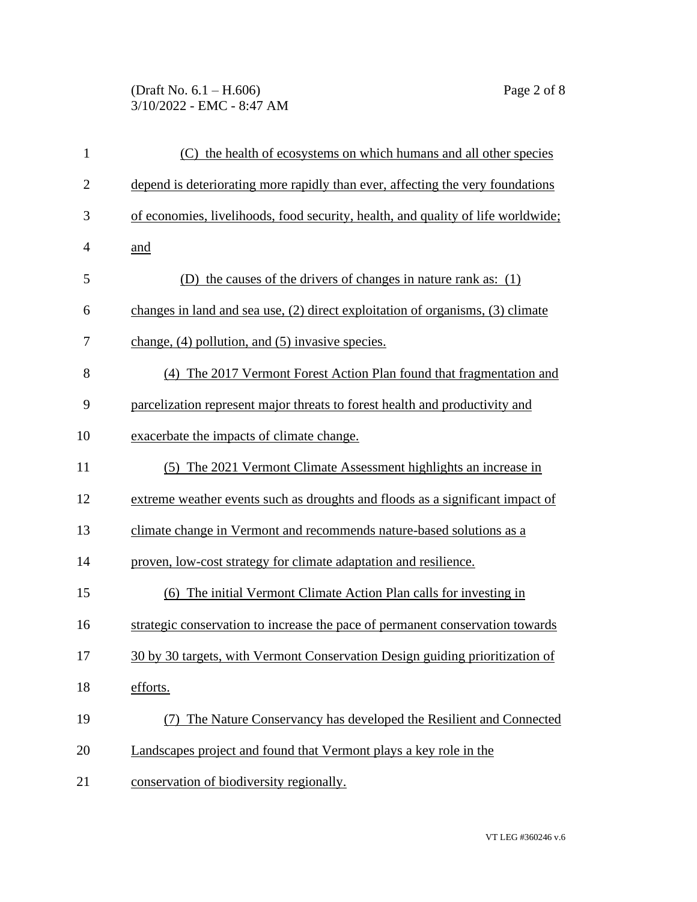## (Draft No. 6.1 – H.606) Page 2 of 8 3/10/2022 - EMC - 8:47 AM

| $\mathbf{1}$   | (C) the health of ecosystems on which humans and all other species                 |
|----------------|------------------------------------------------------------------------------------|
| $\overline{2}$ | depend is deteriorating more rapidly than ever, affecting the very foundations     |
| 3              | of economies, livelihoods, food security, health, and quality of life worldwide;   |
| 4              | and                                                                                |
| 5              | (D) the causes of the drivers of changes in nature rank as: (1)                    |
| 6              | changes in land and sea use, $(2)$ direct exploitation of organisms, $(3)$ climate |
| 7              | change, $(4)$ pollution, and $(5)$ invasive species.                               |
| 8              | (4) The 2017 Vermont Forest Action Plan found that fragmentation and               |
| 9              | parcelization represent major threats to forest health and productivity and        |
| 10             | exacerbate the impacts of climate change.                                          |
| 11             | (5) The 2021 Vermont Climate Assessment highlights an increase in                  |
| 12             | extreme weather events such as droughts and floods as a significant impact of      |
| 13             | climate change in Vermont and recommends nature-based solutions as a               |
| 14             | proven, low-cost strategy for climate adaptation and resilience.                   |
| 15             | (6) The initial Vermont Climate Action Plan calls for investing in                 |
| 16             | strategic conservation to increase the pace of permanent conservation towards      |
| 17             | 30 by 30 targets, with Vermont Conservation Design guiding prioritization of       |
| 18             | efforts.                                                                           |
| 19             | (7) The Nature Conservancy has developed the Resilient and Connected               |
| 20             | Landscapes project and found that Vermont plays a key role in the                  |
| 21             | conservation of biodiversity regionally.                                           |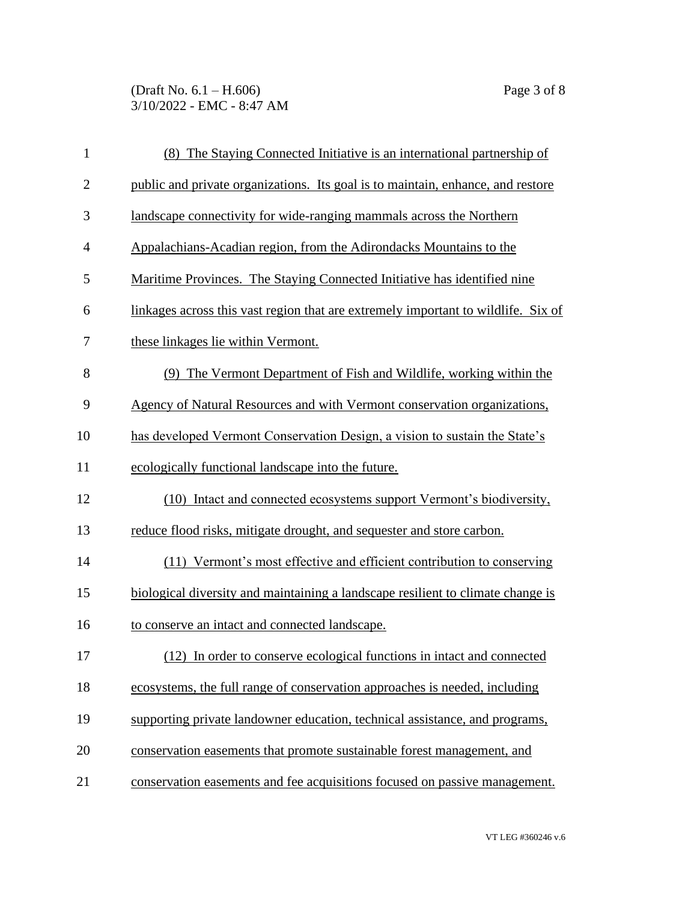(Draft No. 6.1 – H.606) Page 3 of 8 3/10/2022 - EMC - 8:47 AM

| $\mathbf{1}$   | (8) The Staying Connected Initiative is an international partnership of           |  |
|----------------|-----------------------------------------------------------------------------------|--|
| $\overline{2}$ | public and private organizations. Its goal is to maintain, enhance, and restore   |  |
| 3              | landscape connectivity for wide-ranging mammals across the Northern               |  |
| $\overline{4}$ | Appalachians-Acadian region, from the Adirondacks Mountains to the                |  |
| 5              | Maritime Provinces. The Staying Connected Initiative has identified nine          |  |
| 6              | linkages across this vast region that are extremely important to wildlife. Six of |  |
| 7              | these linkages lie within Vermont.                                                |  |
| 8              | (9) The Vermont Department of Fish and Wildlife, working within the               |  |
| 9              | Agency of Natural Resources and with Vermont conservation organizations,          |  |
| 10             | has developed Vermont Conservation Design, a vision to sustain the State's        |  |
| 11             | ecologically functional landscape into the future.                                |  |
| 12             | (10) Intact and connected ecosystems support Vermont's biodiversity,              |  |
| 13             | reduce flood risks, mitigate drought, and sequester and store carbon.             |  |
| 14             | (11) Vermont's most effective and efficient contribution to conserving            |  |
| 15             | biological diversity and maintaining a landscape resilient to climate change is   |  |
| 16             | to conserve an intact and connected landscape.                                    |  |
| 17             | (12) In order to conserve ecological functions in intact and connected            |  |
| 18             | ecosystems, the full range of conservation approaches is needed, including        |  |
| 19             | supporting private landowner education, technical assistance, and programs,       |  |
| 20             | conservation easements that promote sustainable forest management, and            |  |
| 21             | conservation easements and fee acquisitions focused on passive management.        |  |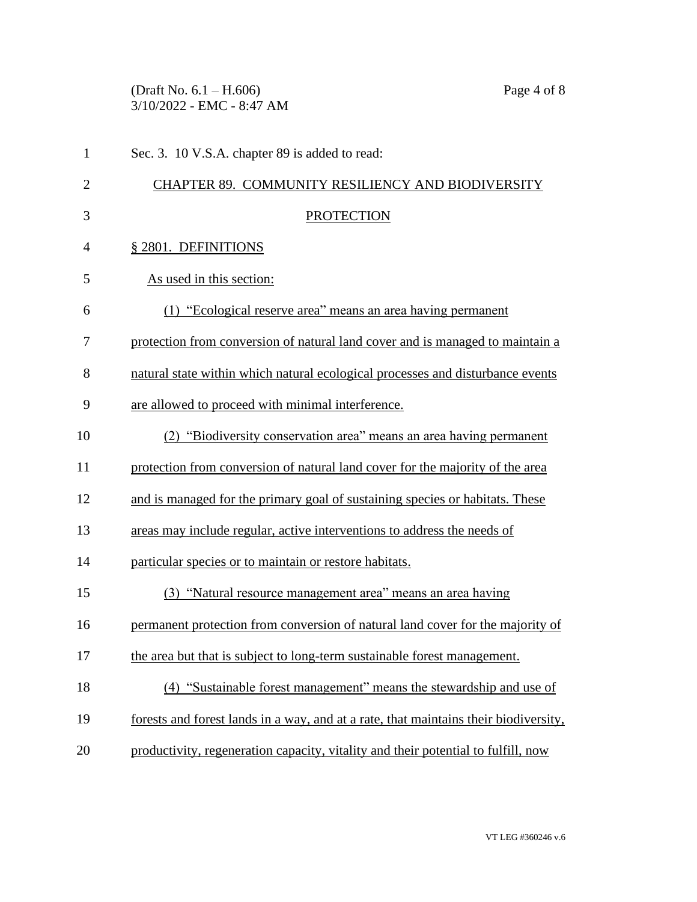(Draft No. 6.1 – H.606) Page 4 of 8 3/10/2022 - EMC - 8:47 AM

| 1              | Sec. 3. 10 V.S.A. chapter 89 is added to read:                                       |  |
|----------------|--------------------------------------------------------------------------------------|--|
| $\overline{2}$ | CHAPTER 89. COMMUNITY RESILIENCY AND BIODIVERSITY                                    |  |
| 3              | <b>PROTECTION</b>                                                                    |  |
| $\overline{4}$ | § 2801. DEFINITIONS                                                                  |  |
| 5              | As used in this section:                                                             |  |
| 6              | (1) "Ecological reserve area" means an area having permanent                         |  |
| 7              | protection from conversion of natural land cover and is managed to maintain a        |  |
| 8              | natural state within which natural ecological processes and disturbance events       |  |
| 9              | are allowed to proceed with minimal interference.                                    |  |
| 10             | (2) "Biodiversity conservation area" means an area having permanent                  |  |
| 11             | protection from conversion of natural land cover for the majority of the area        |  |
| 12             | and is managed for the primary goal of sustaining species or habitats. These         |  |
| 13             | areas may include regular, active interventions to address the needs of              |  |
| 14             | particular species or to maintain or restore habitats.                               |  |
| 15             | (3) "Natural resource management area" means an area having                          |  |
| 16             | permanent protection from conversion of natural land cover for the majority of       |  |
| 17             | the area but that is subject to long-term sustainable forest management.             |  |
| 18             | (4) "Sustainable forest management" means the stewardship and use of                 |  |
| 19             | forests and forest lands in a way, and at a rate, that maintains their biodiversity, |  |
| 20             | productivity, regeneration capacity, vitality and their potential to fulfill, now    |  |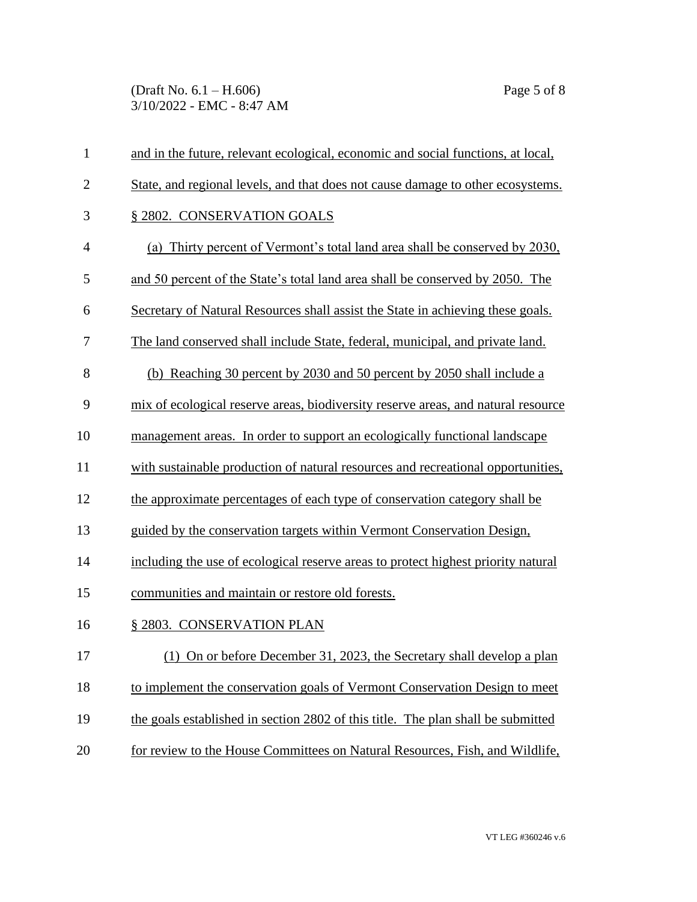(Draft No. 6.1 – H.606) Page 5 of 8 3/10/2022 - EMC - 8:47 AM

| $\mathbf{1}$   | and in the future, relevant ecological, economic and social functions, at local,  |  |
|----------------|-----------------------------------------------------------------------------------|--|
| $\overline{2}$ | State, and regional levels, and that does not cause damage to other ecosystems.   |  |
| 3              | § 2802. CONSERVATION GOALS                                                        |  |
| $\overline{4}$ | (a) Thirty percent of Vermont's total land area shall be conserved by 2030,       |  |
| 5              | and 50 percent of the State's total land area shall be conserved by 2050. The     |  |
| 6              | Secretary of Natural Resources shall assist the State in achieving these goals.   |  |
| 7              | The land conserved shall include State, federal, municipal, and private land.     |  |
| 8              | (b) Reaching 30 percent by 2030 and 50 percent by 2050 shall include a            |  |
| 9              | mix of ecological reserve areas, biodiversity reserve areas, and natural resource |  |
| 10             | management areas. In order to support an ecologically functional landscape        |  |
| 11             | with sustainable production of natural resources and recreational opportunities,  |  |
| 12             | the approximate percentages of each type of conservation category shall be        |  |
| 13             | guided by the conservation targets within Vermont Conservation Design,            |  |
| 14             | including the use of ecological reserve areas to protect highest priority natural |  |
| 15             | communities and maintain or restore old forests.                                  |  |
| 16             | § 2803. CONSERVATION PLAN                                                         |  |
| 17             | (1) On or before December 31, 2023, the Secretary shall develop a plan            |  |
| 18             | to implement the conservation goals of Vermont Conservation Design to meet        |  |
| 19             | the goals established in section 2802 of this title. The plan shall be submitted  |  |
| 20             | for review to the House Committees on Natural Resources, Fish, and Wildlife,      |  |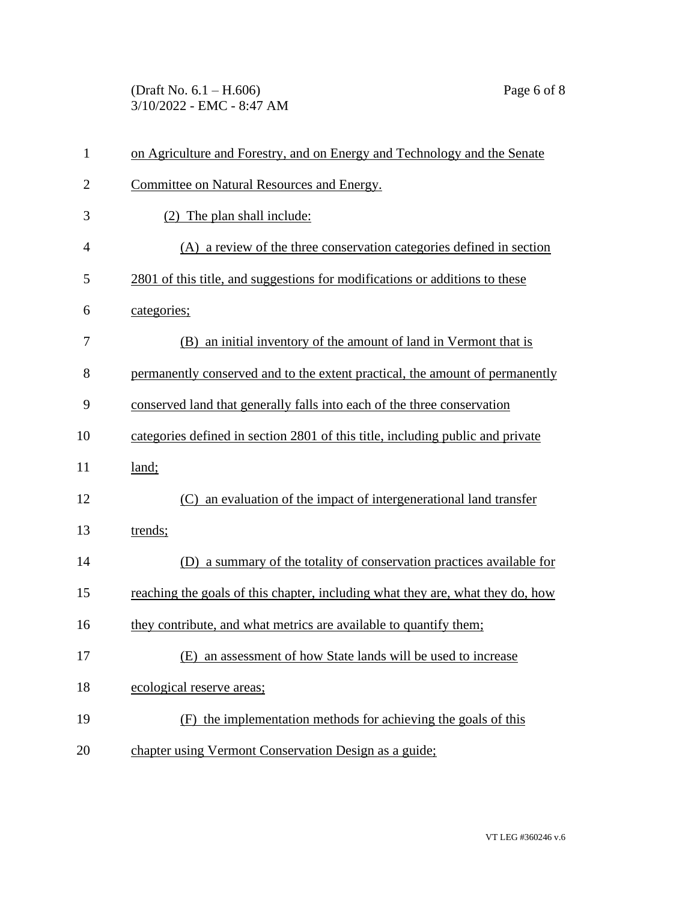(Draft No. 6.1 – H.606) Page 6 of 8 3/10/2022 - EMC - 8:47 AM

| $\mathbf{1}$ | on Agriculture and Forestry, and on Energy and Technology and the Senate       |  |  |
|--------------|--------------------------------------------------------------------------------|--|--|
| 2            | Committee on Natural Resources and Energy.                                     |  |  |
| 3            | (2) The plan shall include:                                                    |  |  |
| 4            | (A) a review of the three conservation categories defined in section           |  |  |
| 5            | 2801 of this title, and suggestions for modifications or additions to these    |  |  |
| 6            | categories;                                                                    |  |  |
| 7            | (B) an initial inventory of the amount of land in Vermont that is              |  |  |
| 8            | permanently conserved and to the extent practical, the amount of permanently   |  |  |
| 9            | conserved land that generally falls into each of the three conservation        |  |  |
| 10           | categories defined in section 2801 of this title, including public and private |  |  |
| 11           | land;                                                                          |  |  |
| 12           | an evaluation of the impact of intergenerational land transfer<br>(C)          |  |  |
| 13           | trends;                                                                        |  |  |
| 14           | a summary of the totality of conservation practices available for<br>(D)       |  |  |
| 15           | reaching the goals of this chapter, including what they are, what they do, how |  |  |
| 16           | they contribute, and what metrics are available to quantify them;              |  |  |
| 17           | (E) an assessment of how State lands will be used to increase                  |  |  |
| 18           | ecological reserve areas;                                                      |  |  |
| 19           | (F) the implementation methods for achieving the goals of this                 |  |  |
| 20           | chapter using Vermont Conservation Design as a guide;                          |  |  |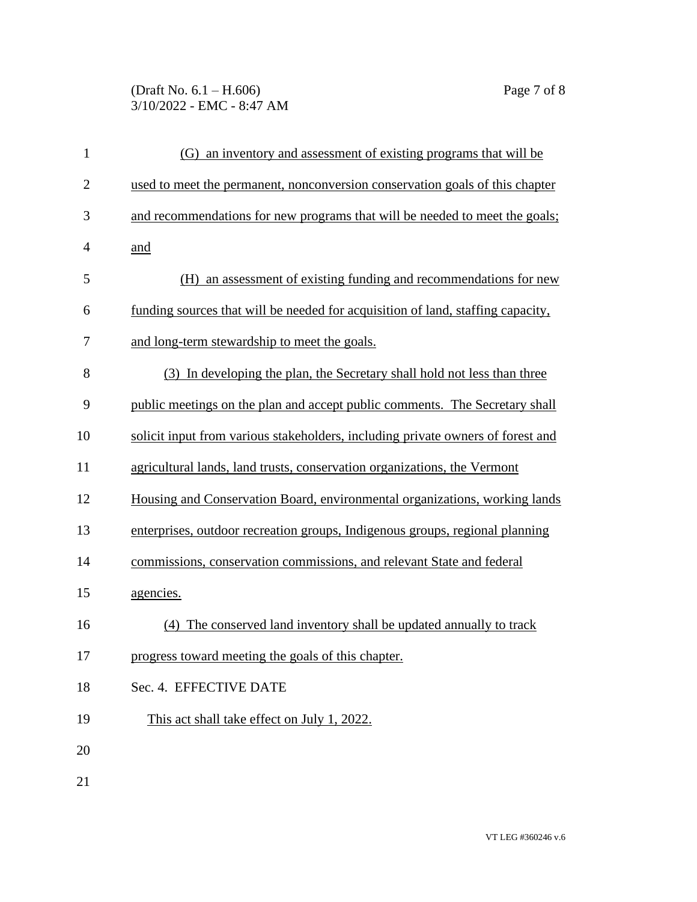(Draft No. 6.1 – H.606) Page 7 of 8 3/10/2022 - EMC - 8:47 AM

| $\mathbf{1}$   | (G) an inventory and assessment of existing programs that will be               |
|----------------|---------------------------------------------------------------------------------|
| $\mathbf{2}$   | used to meet the permanent, nonconversion conservation goals of this chapter    |
| 3              | and recommendations for new programs that will be needed to meet the goals;     |
| $\overline{4}$ | and                                                                             |
| 5              | an assessment of existing funding and recommendations for new<br>(H)            |
| 6              | funding sources that will be needed for acquisition of land, staffing capacity, |
| 7              | and long-term stewardship to meet the goals.                                    |
| 8              | (3) In developing the plan, the Secretary shall hold not less than three        |
| 9              | public meetings on the plan and accept public comments. The Secretary shall     |
| 10             | solicit input from various stakeholders, including private owners of forest and |
| 11             | agricultural lands, land trusts, conservation organizations, the Vermont        |
| 12             | Housing and Conservation Board, environmental organizations, working lands      |
| 13             | enterprises, outdoor recreation groups, Indigenous groups, regional planning    |
| 14             | commissions, conservation commissions, and relevant State and federal           |
| 15             | agencies.                                                                       |
| 16             | (4) The conserved land inventory shall be updated annually to track             |
| 17             | progress toward meeting the goals of this chapter.                              |
| 18             | Sec. 4. EFFECTIVE DATE                                                          |
| 19             | This act shall take effect on July 1, 2022.                                     |
| 20             |                                                                                 |
| 21             |                                                                                 |